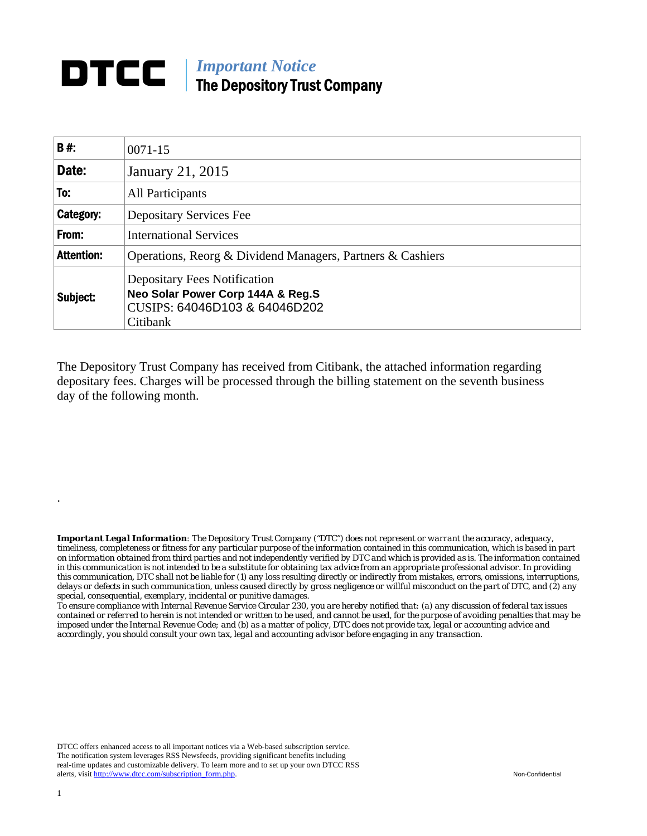## **DTCC** | *Important Notice* The Depository Trust Company

| <b>B#:</b>        | $0071 - 15$                                                                                                           |  |  |
|-------------------|-----------------------------------------------------------------------------------------------------------------------|--|--|
| Date:             | <b>January 21, 2015</b>                                                                                               |  |  |
| To:               | All Participants                                                                                                      |  |  |
| Category:         | <b>Depositary Services Fee</b>                                                                                        |  |  |
| From:             | <b>International Services</b>                                                                                         |  |  |
| <b>Attention:</b> | Operations, Reorg & Dividend Managers, Partners & Cashiers                                                            |  |  |
| Subject:          | <b>Depositary Fees Notification</b><br>Neo Solar Power Corp 144A & Reg.S<br>CUSIPS: 64046D103 & 64046D202<br>Citibank |  |  |

The Depository Trust Company has received from Citibank, the attached information regarding depositary fees. Charges will be processed through the billing statement on the seventh business day of the following month.

*Important Legal Information: The Depository Trust Company ("DTC") does not represent or warrant the accuracy, adequacy, timeliness, completeness or fitness for any particular purpose of the information contained in this communication, which is based in part on information obtained from third parties and not independently verified by DTC and which is provided as is. The information contained in this communication is not intended to be a substitute for obtaining tax advice from an appropriate professional advisor. In providing this communication, DTC shall not be liable for (1) any loss resulting directly or indirectly from mistakes, errors, omissions, interruptions, delays or defects in such communication, unless caused directly by gross negligence or willful misconduct on the part of DTC, and (2) any special, consequential, exemplary, incidental or punitive damages.* 

*To ensure compliance with Internal Revenue Service Circular 230, you are hereby notified that: (a) any discussion of federal tax issues contained or referred to herein is not intended or written to be used, and cannot be used, for the purpose of avoiding penalties that may be imposed under the Internal Revenue Code; and (b) as a matter of policy, DTC does not provide tax, legal or accounting advice and accordingly, you should consult your own tax, legal and accounting advisor before engaging in any transaction.*

DTCC offers enhanced access to all important notices via a Web-based subscription service. The notification system leverages RSS Newsfeeds, providing significant benefits including real-time updates and customizable delivery. To learn more and to set up your own DTCC RSS alerts, visit http://www.dtcc.com/subscription\_form.php. Non-Confidential

.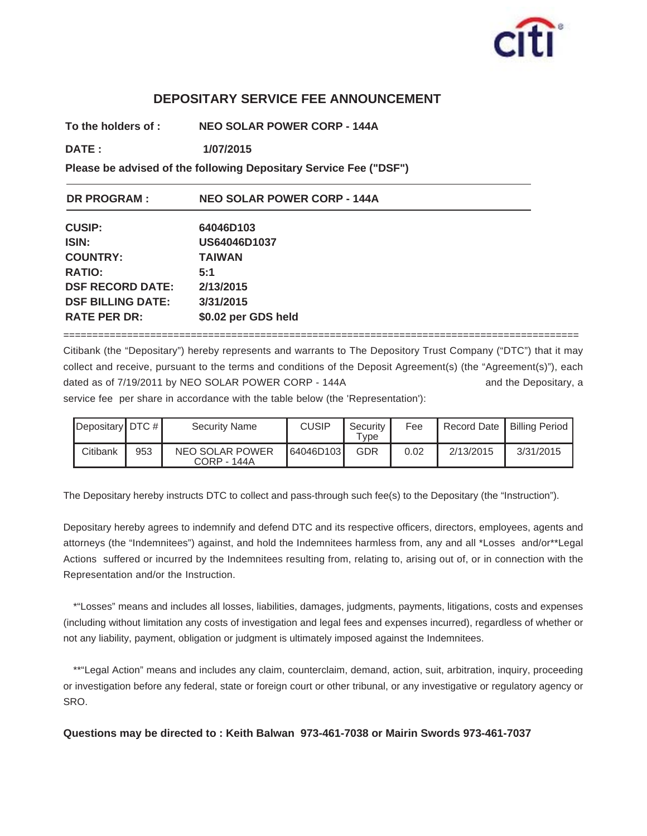

## **DEPOSITARY SERVICE FEE ANNOUNCEMENT**

**To the holders of : NEO SOLAR POWER CORP - 144A**

**DATE : 1/07/2015 1/07/2015**

**Please be advised of the following Depositary Service Fee ("DSF")**

| <b>DR PROGRAM:</b>       | <b>NEO SOLAR POWER CORP - 144A</b> |
|--------------------------|------------------------------------|
| <b>CUSIP:</b>            | 64046D103                          |
| ISIN:                    | US64046D1037                       |
| <b>COUNTRY:</b>          | <b>TAIWAN</b>                      |
| <b>RATIO:</b>            | 5:1                                |
| <b>DSF RECORD DATE:</b>  | 2/13/2015                          |
| <b>DSF BILLING DATE:</b> | 3/31/2015                          |
| <b>RATE PER DR:</b>      | \$0.02 per GDS held                |

========================================================================================= Citibank (the "Depositary") hereby represents and warrants to The Depository Trust Company ("DTC") that it may collect and receive, pursuant to the terms and conditions of the Deposit Agreement(s) (the "Agreement(s)"), each dated as of 7/19/2011 by NEO SOLAR POWER CORP - 144A and the Depositary, a

service fee per share in accordance with the table below (the 'Representation'):

| Depositary DTC $#$ |     | <b>Security Name</b>                  | <b>CUSIP</b> | Security<br>Type | Fee  |           | Record Date   Billing Period |
|--------------------|-----|---------------------------------------|--------------|------------------|------|-----------|------------------------------|
| Citibank           | 953 | NEO SOLAR POWER<br><b>CORP - 144A</b> | 64046D103    | GDR              | 0.02 | 2/13/2015 | 3/31/2015                    |

The Depositary hereby instructs DTC to collect and pass-through such fee(s) to the Depositary (the "Instruction").

Depositary hereby agrees to indemnify and defend DTC and its respective officers, directors, employees, agents and attorneys (the "Indemnitees") against, and hold the Indemnitees harmless from, any and all \*Losses and/or\*\*Legal Actions suffered or incurred by the Indemnitees resulting from, relating to, arising out of, or in connection with the Representation and/or the Instruction.

\*"Losses" means and includes all losses, liabilities, damages, judgments, payments, litigations, costs and expenses (including without limitation any costs of investigation and legal fees and expenses incurred), regardless of whether or not any liability, payment, obligation or judgment is ultimately imposed against the Indemnitees.

\*\*"Legal Action" means and includes any claim, counterclaim, demand, action, suit, arbitration, inquiry, proceeding or investigation before any federal, state or foreign court or other tribunal, or any investigative or regulatory agency or SRO.

**Questions may be directed to : Keith Balwan 973-461-7038 or Mairin Swords 973-461-7037**